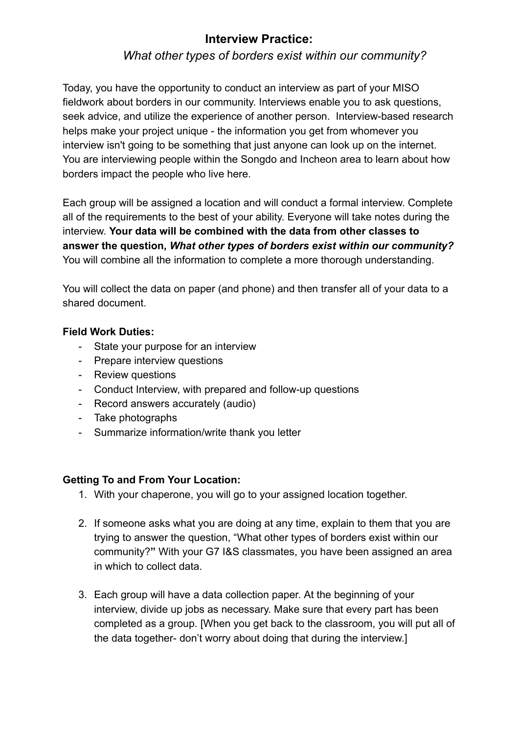## *What other types of borders exist within our community?*

Today, you have the opportunity to conduct an interview as part of your MISO fieldwork about borders in our community. Interviews enable you to ask questions, seek advice, and utilize the experience of another person. Interview-based research helps make your project unique - the information you get from whomever you interview isn't going to be something that just anyone can look up on the internet. You are interviewing people within the Songdo and Incheon area to learn about how borders impact the people who live here.

Each group will be assigned a location and will conduct a formal interview. Complete all of the requirements to the best of your ability. Everyone will take notes during the interview. **Your data will be combined with the data from other classes to answer the question,** *What other types of borders exist within our community?*  You will combine all the information to complete a more thorough understanding.

You will collect the data on paper (and phone) and then transfer all of your data to a shared document.

#### **Field Work Duties:**

- State your purpose for an interview
- Prepare interview questions
- Review questions
- Conduct Interview, with prepared and follow-up questions
- Record answers accurately (audio)
- Take photographs
- Summarize information/write thank you letter

#### **Getting To and From Your Location:**

- 1. With your chaperone, you will go to your assigned location together.
- 2. If someone asks what you are doing at any time, explain to them that you are trying to answer the question, " What other types of borders exist within our community? **"** With your G7 I&S classmates, you have been assigned an area in which to collect data.
- 3. Each group will have a data collection paper. At the beginning of your interview, divide up jobs as necessary. Make sure that every part has been completed as a group. [When you get back to the classroom, you will put all of the data together- don't worry about doing that during the interview.]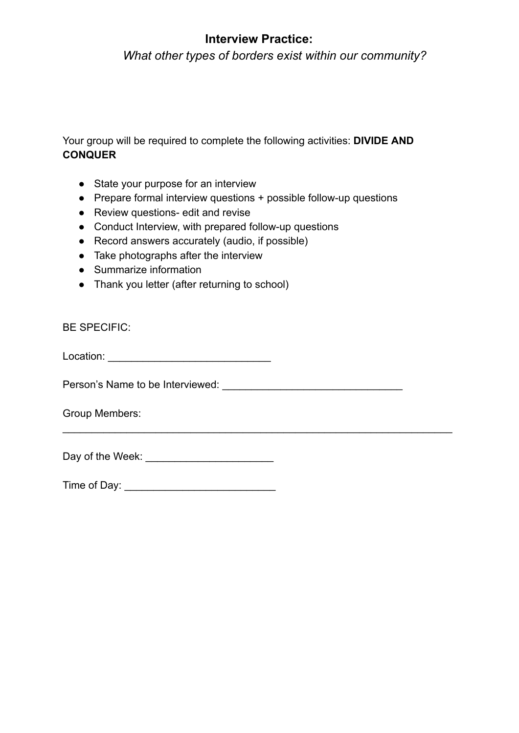*What other types of borders exist within our community?*

Your group will be required to complete the following activities: **DIVIDE AND CONQUER** 

- State your purpose for an interview
- Prepare formal interview questions + possible follow-up questions

\_\_\_\_\_\_\_\_\_\_\_\_\_\_\_\_\_\_\_\_\_\_\_\_\_\_\_\_\_\_\_\_\_\_\_\_\_\_\_\_\_\_\_\_\_\_\_\_\_\_\_\_\_\_\_\_\_\_\_\_\_\_\_\_\_\_\_

- Review questions- edit and revise
- Conduct Interview, with prepared follow-up questions
- Record answers accurately (audio, if possible)
- Take photographs after the interview
- Summarize information
- Thank you letter (after returning to school)

BE SPECIFIC:

Location: \_\_\_\_\_\_\_\_\_\_\_\_\_\_\_\_\_\_\_\_\_\_\_\_\_\_\_\_

Person's Name to be Interviewed: \_\_\_\_\_\_\_\_\_\_\_\_\_\_\_\_\_\_\_\_\_\_\_\_\_\_\_\_\_\_\_

Group Members:

Day of the Week: \_\_\_\_\_\_\_\_\_\_\_\_\_\_\_\_\_\_\_\_\_\_

Time of Day: \_\_\_\_\_\_\_\_\_\_\_\_\_\_\_\_\_\_\_\_\_\_\_\_\_\_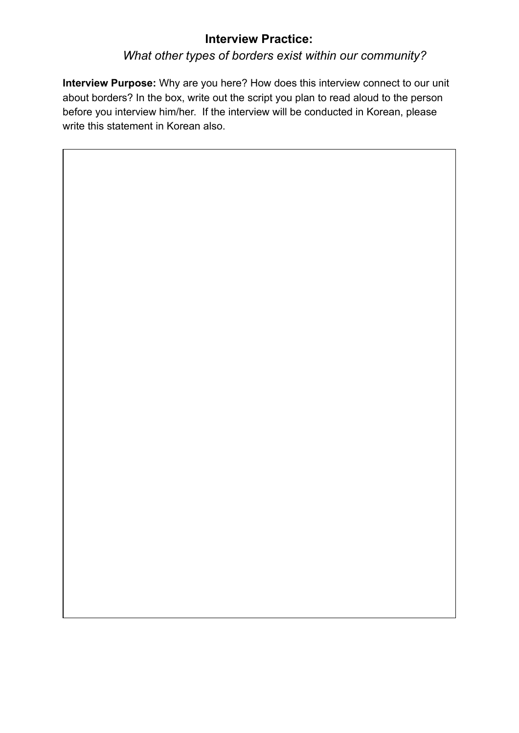# *What other types of borders exist within our community?*

**Interview Purpose:** Why are you here? How does this interview connect to our unit about borders? In the box, write out the script you plan to read aloud to the person before you interview him/her. If the interview will be conducted in Korean, please write this statement in Korean also.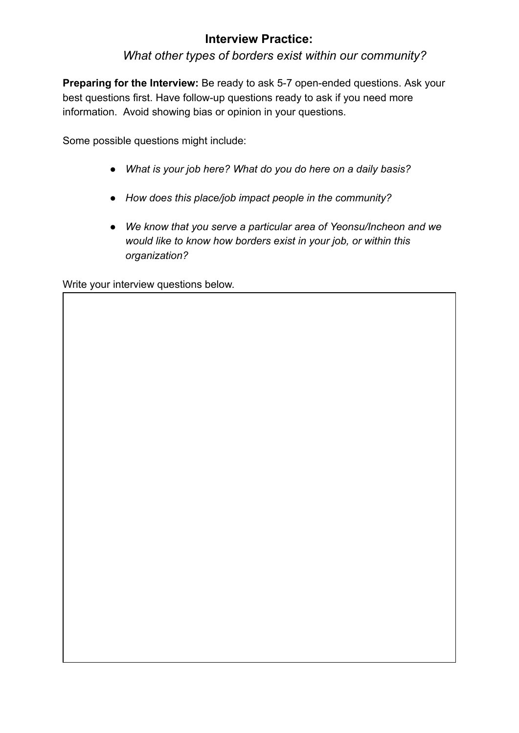*What other types of borders exist within our community?*

**Preparing for the Interview:** Be ready to ask 5-7 open-ended questions. Ask your best questions first. Have follow-up questions ready to ask if you need more information. Avoid showing bias or opinion in your questions.

Some possible questions might include:

- *What is your job here? What do you do here on a daily basis?*
- *How does this place/job impact people in the community?*
- *We know that you serve a particular area of Yeonsu/Incheon and we would like to know how borders exist in your job, or within this organization?*

Write your interview questions below.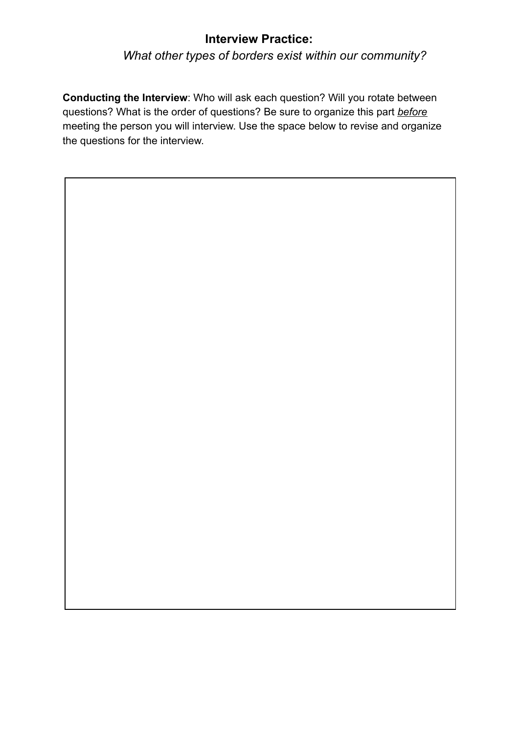# *What other types of borders exist within our community?*

**Conducting the Interview**: Who will ask each question? Will you rotate between questions? What is the order of questions? Be sure to organize this part *before*  meeting the person you will interview. Use the space below to revise and organize the questions for the interview.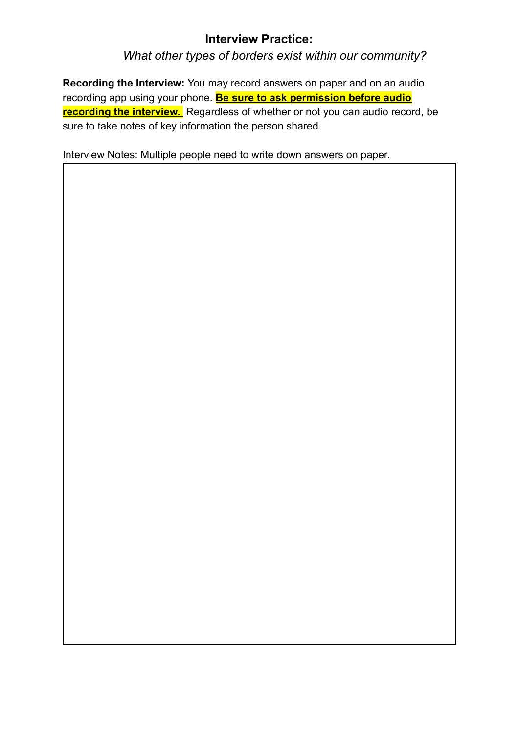*What other types of borders exist within our community?*

**Recording the Interview:** You may record answers on paper and on an audio recording app using your phone. **Be sure to ask permission before audio recording the interview.** Regardless of whether or not you can audio record, be sure to take notes of key information the person shared.

Interview Notes: Multiple people need to write down answers on paper.